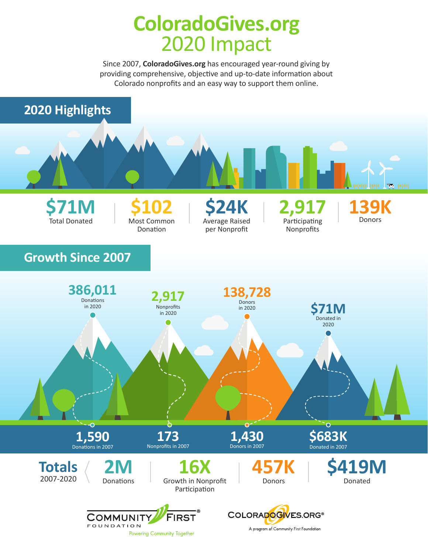## **ColoradoGives.org** 2020 Impact

Since 2007, **ColoradoGives.org** has encouraged year-round giving by providing comprehensive, objective and up-to-date information about Colorado nonprofits and an easy way to support them online.